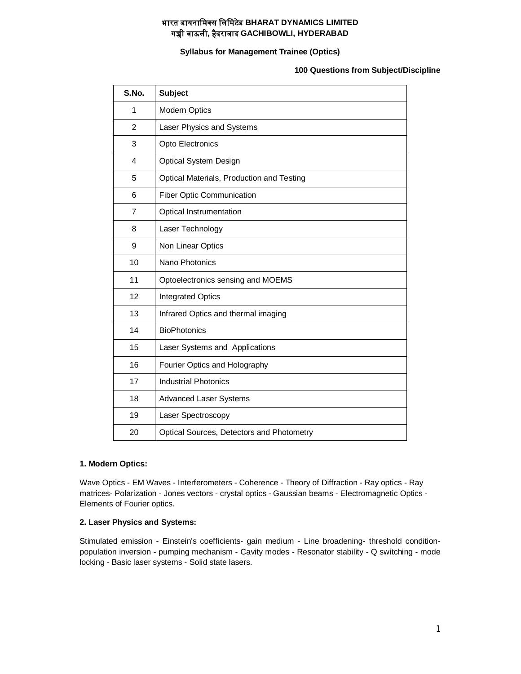# **भारत डायनािमस िलिमटेड BHARAT DYNAMICS LIMITED गᲬी बाऊली, हैदराबाद GACHIBOWLI, HYDERABAD**

# **Syllabus for Management Trainee (Optics)**

**100 Questions from Subject/Discipline** 

| S.No.          | <b>Subject</b>                            |
|----------------|-------------------------------------------|
| 1              | <b>Modern Optics</b>                      |
| $\overline{2}$ | Laser Physics and Systems                 |
| 3              | Opto Electronics                          |
| 4              | Optical System Design                     |
| 5              | Optical Materials, Production and Testing |
| 6              | <b>Fiber Optic Communication</b>          |
| 7              | Optical Instrumentation                   |
| 8              | Laser Technology                          |
| 9              | Non Linear Optics                         |
| 10             | Nano Photonics                            |
| 11             | Optoelectronics sensing and MOEMS         |
| 12             | <b>Integrated Optics</b>                  |
| 13             | Infrared Optics and thermal imaging       |
| 14             | <b>BioPhotonics</b>                       |
| 15             | Laser Systems and Applications            |
| 16             | Fourier Optics and Holography             |
| 17             | <b>Industrial Photonics</b>               |
| 18             | <b>Advanced Laser Systems</b>             |
| 19             | Laser Spectroscopy                        |
| 20             | Optical Sources, Detectors and Photometry |

### **1. Modern Optics:**

Wave Optics - EM Waves - Interferometers - Coherence - Theory of Diffraction - Ray optics - Ray matrices- Polarization - Jones vectors - crystal optics - Gaussian beams - Electromagnetic Optics - Elements of Fourier optics.

#### **2. Laser Physics and Systems:**

Stimulated emission - Einstein's coefficients- gain medium - Line broadening- threshold conditionpopulation inversion - pumping mechanism - Cavity modes - Resonator stability - Q switching - mode locking - Basic laser systems - Solid state lasers.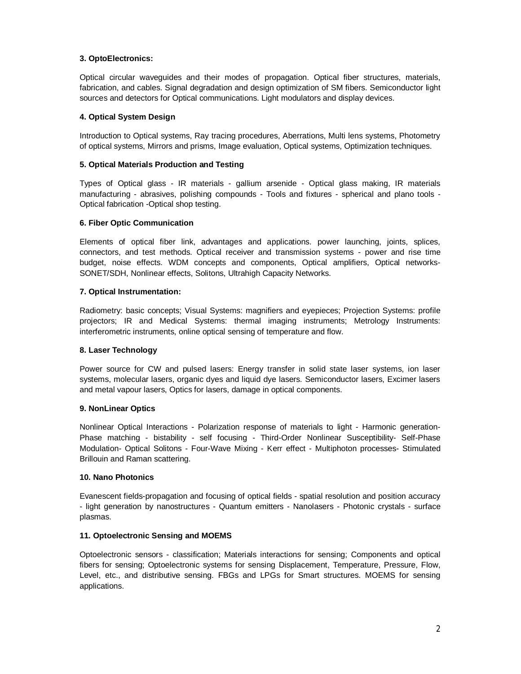# **3. OptoElectronics:**

Optical circular waveguides and their modes of propagation. Optical fiber structures, materials, fabrication, and cables. Signal degradation and design optimization of SM fibers. Semiconductor light sources and detectors for Optical communications. Light modulators and display devices.

# **4. Optical System Design**

Introduction to Optical systems, Ray tracing procedures, Aberrations, Multi lens systems, Photometry of optical systems, Mirrors and prisms, Image evaluation, Optical systems, Optimization techniques.

### **5. Optical Materials Production and Testing**

Types of Optical glass - IR materials - gallium arsenide - Optical glass making, IR materials manufacturing - abrasives, polishing compounds - Tools and fixtures - spherical and plano tools - Optical fabrication -Optical shop testing.

#### **6. Fiber Optic Communication**

Elements of optical fiber link, advantages and applications. power launching, joints, splices, connectors, and test methods. Optical receiver and transmission systems - power and rise time budget, noise effects. WDM concepts and components, Optical amplifiers, Optical networks-SONET/SDH, Nonlinear effects, Solitons, Ultrahigh Capacity Networks.

# **7. Optical Instrumentation:**

Radiometry: basic concepts; Visual Systems: magnifiers and eyepieces; Projection Systems: profile projectors; IR and Medical Systems: thermal imaging instruments; Metrology Instruments: interferometric instruments, online optical sensing of temperature and flow.

#### **8. Laser Technology**

Power source for CW and pulsed lasers: Energy transfer in solid state laser systems, ion laser systems, molecular lasers, organic dyes and liquid dye lasers. Semiconductor lasers, Excimer lasers and metal vapour lasers, Optics for lasers, damage in optical components.

#### **9. NonLinear Optics**

Nonlinear Optical Interactions - Polarization response of materials to light - Harmonic generation-Phase matching - bistability - self focusing - Third-Order Nonlinear Susceptibility- Self-Phase Modulation- Optical Solitons - Four-Wave Mixing - Kerr effect - Multiphoton processes- Stimulated Brillouin and Raman scattering.

#### **10. Nano Photonics**

Evanescent fields-propagation and focusing of optical fields - spatial resolution and position accuracy - light generation by nanostructures - Quantum emitters - Nanolasers - Photonic crystals - surface plasmas.

#### **11. Optoelectronic Sensing and MOEMS**

Optoelectronic sensors - classification; Materials interactions for sensing; Components and optical fibers for sensing; Optoelectronic systems for sensing Displacement, Temperature, Pressure, Flow, Level, etc., and distributive sensing. FBGs and LPGs for Smart structures. MOEMS for sensing applications.